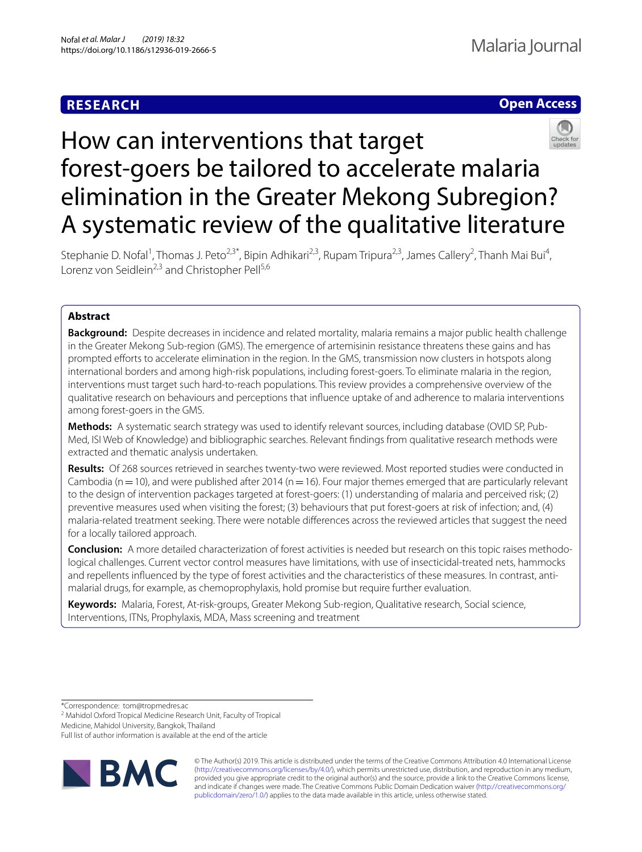# **RESEARCH**

# **Open Access**



# How can interventions that target forest-goers be tailored to accelerate malaria elimination in the Greater Mekong Subregion? A systematic review of the qualitative literature

Stephanie D. Nofal<sup>1</sup>, Thomas J. Peto<sup>2,3\*</sup>, Bipin Adhikari<sup>2,3</sup>, Rupam Tripura<sup>2,3</sup>, James Callery<sup>2</sup>, Thanh Mai Bui<sup>4</sup>, Lorenz von Seidlein<sup>2,3</sup> and Christopher Pell<sup>5,6</sup>

# **Abstract**

**Background:** Despite decreases in incidence and related mortality, malaria remains a major public health challenge in the Greater Mekong Sub-region (GMS). The emergence of artemisinin resistance threatens these gains and has prompted eforts to accelerate elimination in the region. In the GMS, transmission now clusters in hotspots along international borders and among high-risk populations, including forest-goers. To eliminate malaria in the region, interventions must target such hard-to-reach populations. This review provides a comprehensive overview of the qualitative research on behaviours and perceptions that infuence uptake of and adherence to malaria interventions among forest-goers in the GMS.

**Methods:** A systematic search strategy was used to identify relevant sources, including database (OVID SP, Pub-Med, ISI Web of Knowledge) and bibliographic searches. Relevant fndings from qualitative research methods were extracted and thematic analysis undertaken.

**Results:** Of 268 sources retrieved in searches twenty-two were reviewed. Most reported studies were conducted in Cambodia ( $n=10$ ), and were published after 2014 ( $n=16$ ). Four major themes emerged that are particularly relevant to the design of intervention packages targeted at forest-goers: (1) understanding of malaria and perceived risk; (2) preventive measures used when visiting the forest; (3) behaviours that put forest-goers at risk of infection; and, (4) malaria-related treatment seeking. There were notable diferences across the reviewed articles that suggest the need for a locally tailored approach.

**Conclusion:** A more detailed characterization of forest activities is needed but research on this topic raises methodological challenges. Current vector control measures have limitations, with use of insecticidal-treated nets, hammocks and repellents infuenced by the type of forest activities and the characteristics of these measures. In contrast, antimalarial drugs, for example, as chemoprophylaxis, hold promise but require further evaluation.

**Keywords:** Malaria, Forest, At-risk-groups, Greater Mekong Sub-region, Qualitative research, Social science, Interventions, ITNs, Prophylaxis, MDA, Mass screening and treatment

\*Correspondence: tom@tropmedres.ac

<sup>2</sup> Mahidol Oxford Tropical Medicine Research Unit, Faculty of Tropical

Medicine, Mahidol University, Bangkok, Thailand

Full list of author information is available at the end of the article



© The Author(s) 2019. This article is distributed under the terms of the Creative Commons Attribution 4.0 International License [\(http://creativecommons.org/licenses/by/4.0/\)](http://creativecommons.org/licenses/by/4.0/), which permits unrestricted use, distribution, and reproduction in any medium, provided you give appropriate credit to the original author(s) and the source, provide a link to the Creative Commons license, and indicate if changes were made. The Creative Commons Public Domain Dedication waiver ([http://creativecommons.org/](http://creativecommons.org/publicdomain/zero/1.0/) [publicdomain/zero/1.0/](http://creativecommons.org/publicdomain/zero/1.0/)) applies to the data made available in this article, unless otherwise stated.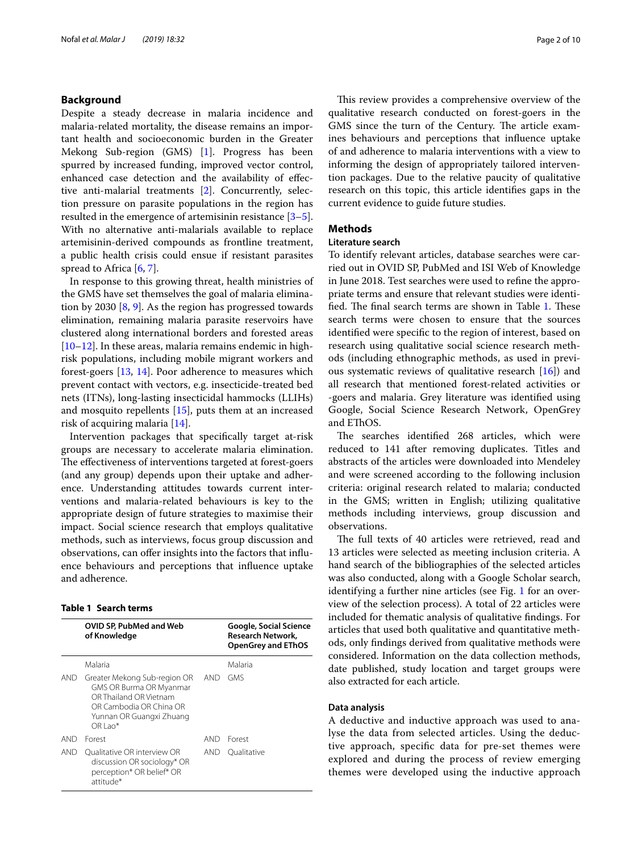## **Background**

Despite a steady decrease in malaria incidence and malaria-related mortality, the disease remains an important health and socioeconomic burden in the Greater Mekong Sub-region (GMS) [\[1](#page-8-0)]. Progress has been spurred by increased funding, improved vector control, enhanced case detection and the availability of efective anti-malarial treatments [[2\]](#page-8-1). Concurrently, selection pressure on parasite populations in the region has resulted in the emergence of artemisinin resistance [\[3](#page-8-2)[–5](#page-8-3)]. With no alternative anti-malarials available to replace artemisinin-derived compounds as frontline treatment, a public health crisis could ensue if resistant parasites spread to Africa [[6,](#page-8-4) [7\]](#page-8-5).

In response to this growing threat, health ministries of the GMS have set themselves the goal of malaria elimination by 2030 [[8](#page-8-6), [9](#page-8-7)]. As the region has progressed towards elimination, remaining malaria parasite reservoirs have clustered along international borders and forested areas [[10–](#page-8-8)[12](#page-8-9)]. In these areas, malaria remains endemic in highrisk populations, including mobile migrant workers and forest-goers [[13](#page-8-10), [14\]](#page-9-0). Poor adherence to measures which prevent contact with vectors, e.g. insecticide-treated bed nets (ITNs), long-lasting insecticidal hammocks (LLIHs) and mosquito repellents [[15](#page-9-1)], puts them at an increased risk of acquiring malaria [[14\]](#page-9-0).

Intervention packages that specifcally target at-risk groups are necessary to accelerate malaria elimination. The effectiveness of interventions targeted at forest-goers (and any group) depends upon their uptake and adherence. Understanding attitudes towards current interventions and malaria-related behaviours is key to the appropriate design of future strategies to maximise their impact. Social science research that employs qualitative methods, such as interviews, focus group discussion and observations, can offer insights into the factors that influence behaviours and perceptions that infuence uptake and adherence.

## <span id="page-1-0"></span>**Table 1 Search terms**

|            | <b>OVID SP, PubMed and Web</b><br>of Knowledge                                                                                                                    | Google, Social Science<br><b>Research Network,</b><br><b>OpenGrey and EThOS</b> |             |
|------------|-------------------------------------------------------------------------------------------------------------------------------------------------------------------|---------------------------------------------------------------------------------|-------------|
|            | Malaria                                                                                                                                                           |                                                                                 | Malaria     |
| AND.       | Greater Mekong Sub-region OR<br>GMS OR Burma OR Myanmar<br>OR Thailand OR Vietnam<br>OR Cambodia OR China OR<br>Yunnan OR Guangxi Zhuang<br>$OR$ Lao <sup>*</sup> | <b>AND</b>                                                                      | GMS         |
| AND        | Forest                                                                                                                                                            | AND.                                                                            | Forest      |
| <b>AND</b> | Oualitative OR interview OR<br>discussion OR sociology* OR<br>perception* OR belief* OR<br>attitude*                                                              | AND.                                                                            | Oualitative |

This review provides a comprehensive overview of the qualitative research conducted on forest-goers in the GMS since the turn of the Century. The article examines behaviours and perceptions that infuence uptake of and adherence to malaria interventions with a view to informing the design of appropriately tailored intervention packages. Due to the relative paucity of qualitative research on this topic, this article identifes gaps in the current evidence to guide future studies.

#### **Methods**

#### **Literature search**

To identify relevant articles, database searches were carried out in OVID SP, PubMed and ISI Web of Knowledge in June 2018. Test searches were used to refne the appropriate terms and ensure that relevant studies were identi-fied. The final search terms are shown in Table [1](#page-1-0). These search terms were chosen to ensure that the sources identifed were specifc to the region of interest, based on research using qualitative social science research methods (including ethnographic methods, as used in previous systematic reviews of qualitative research [\[16](#page-9-2)]) and all research that mentioned forest-related activities or -goers and malaria. Grey literature was identifed using Google, Social Science Research Network, OpenGrey and EThOS.

The searches identified 268 articles, which were reduced to 141 after removing duplicates. Titles and abstracts of the articles were downloaded into Mendeley and were screened according to the following inclusion criteria: original research related to malaria; conducted in the GMS; written in English; utilizing qualitative methods including interviews, group discussion and observations.

The full texts of 40 articles were retrieved, read and 13 articles were selected as meeting inclusion criteria. A hand search of the bibliographies of the selected articles was also conducted, along with a Google Scholar search, identifying a further nine articles (see Fig. [1](#page-2-0) for an overview of the selection process). A total of 22 articles were included for thematic analysis of qualitative fndings. For articles that used both qualitative and quantitative methods, only fndings derived from qualitative methods were considered. Information on the data collection methods, date published, study location and target groups were also extracted for each article.

#### **Data analysis**

A deductive and inductive approach was used to analyse the data from selected articles. Using the deductive approach, specifc data for pre-set themes were explored and during the process of review emerging themes were developed using the inductive approach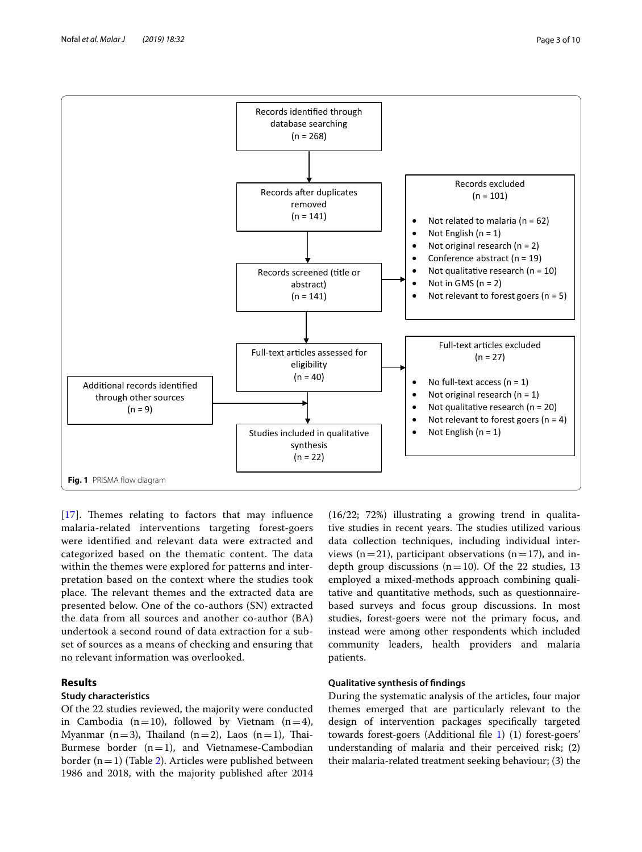

<span id="page-2-0"></span> $[17]$  $[17]$  $[17]$ . Themes relating to factors that may influence malaria-related interventions targeting forest-goers were identifed and relevant data were extracted and categorized based on the thematic content. The data within the themes were explored for patterns and interpretation based on the context where the studies took place. The relevant themes and the extracted data are presented below. One of the co-authors (SN) extracted the data from all sources and another co-author (BA) undertook a second round of data extraction for a subset of sources as a means of checking and ensuring that no relevant information was overlooked.

## **Results**

# **Study characteristics**

Of the 22 studies reviewed, the majority were conducted in Cambodia ( $n=10$ ), followed by Vietnam ( $n=4$ ), Myanmar (n=3), Thailand (n=2), Laos (n=1), Thai-Burmese border  $(n=1)$ , and Vietnamese-Cambodian border  $(n=1)$  (Table [2](#page-3-0)). Articles were published between 1986 and 2018, with the majority published after 2014

(16/22; 72%) illustrating a growing trend in qualitative studies in recent years. The studies utilized various data collection techniques, including individual interviews ( $n=21$ ), participant observations ( $n=17$ ), and indepth group discussions  $(n=10)$ . Of the 22 studies, 13 employed a mixed-methods approach combining qualitative and quantitative methods, such as questionnairebased surveys and focus group discussions. In most studies, forest-goers were not the primary focus, and instead were among other respondents which included community leaders, health providers and malaria patients.

## **Qualitative synthesis of fndings**

During the systematic analysis of the articles, four major themes emerged that are particularly relevant to the design of intervention packages specifcally targeted towards forest-goers (Additional fle [1\)](#page-8-11) (1) forest-goers' understanding of malaria and their perceived risk; (2) their malaria-related treatment seeking behaviour; (3) the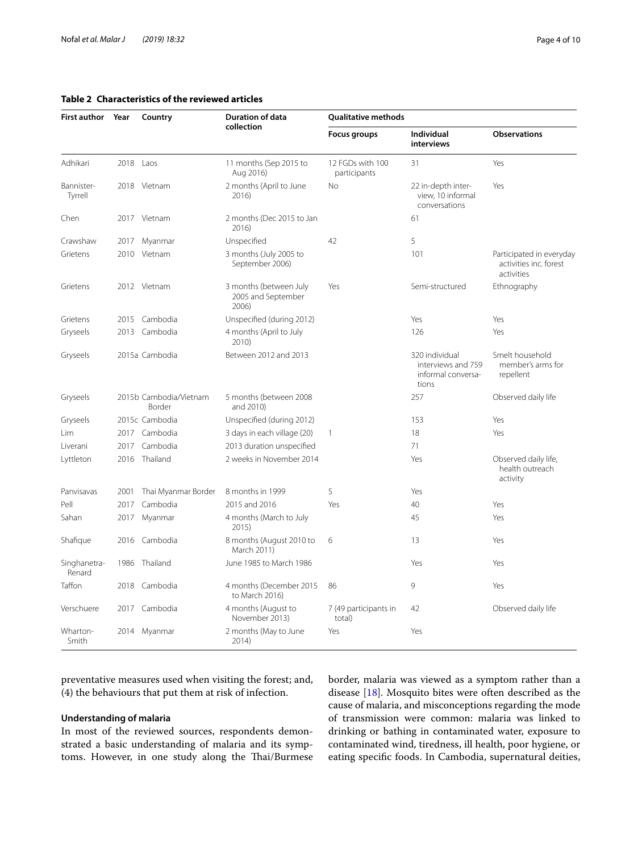| <b>First author</b>    | Year | Country                          | <b>Duration of data</b><br>collection                 | <b>Qualitative methods</b>       |                                                                     |                                                                  |  |
|------------------------|------|----------------------------------|-------------------------------------------------------|----------------------------------|---------------------------------------------------------------------|------------------------------------------------------------------|--|
|                        |      |                                  |                                                       | <b>Focus groups</b>              | <b>Individual</b><br>interviews                                     | Observations                                                     |  |
| Adhikari               |      | 2018 Laos                        | 11 months (Sep 2015 to<br>Aug 2016)                   | 12 FGDs with 100<br>participants | 31                                                                  | Yes                                                              |  |
| Bannister-<br>Tyrrell  |      | 2018 Vietnam                     | 2 months (April to June<br>2016)                      | No                               | 22 in-depth inter-<br>view, 10 informal<br>conversations            | Yes                                                              |  |
| Chen                   |      | 2017 Vietnam                     | 2 months (Dec 2015 to Jan<br>2016)                    |                                  | 61                                                                  |                                                                  |  |
| Crawshaw               |      | 2017 Myanmar                     | Unspecified                                           | 42                               | 5                                                                   |                                                                  |  |
| Grietens               |      | 2010 Vietnam                     | 3 months (July 2005 to<br>September 2006)             |                                  | 101                                                                 | Participated in everyday<br>activities inc. forest<br>activities |  |
| Grietens               |      | 2012 Vietnam                     | 3 months (between July<br>2005 and September<br>2006) | Yes                              | Semi-structured                                                     | Ethnography                                                      |  |
| Grietens               |      | 2015 Cambodia                    | Unspecified (during 2012)                             |                                  | Yes                                                                 | Yes                                                              |  |
| Gryseels               |      | 2013 Cambodia                    | 4 months (April to July<br>2010)                      |                                  | 126                                                                 | Yes                                                              |  |
| Gryseels               |      | 2015a Cambodia                   | Between 2012 and 2013                                 |                                  | 320 individual<br>interviews and 759<br>informal conversa-<br>tions | Smelt household<br>member's arms for<br>repellent                |  |
| Gryseels               |      | 2015b Cambodia/Vietnam<br>Border | 5 months (between 2008<br>and 2010)                   |                                  | 257                                                                 | Observed daily life                                              |  |
| Gryseels               |      | 2015c Cambodia                   | Unspecified (during 2012)                             |                                  | 153                                                                 | Yes                                                              |  |
| Lim.                   |      | 2017 Cambodia                    | 3 days in each village (20)                           | $\mathbf{1}$                     | 18                                                                  | Yes                                                              |  |
| Liverani               | 2017 | Cambodia                         | 2013 duration unspecified                             |                                  | 71                                                                  |                                                                  |  |
| Lyttleton              |      | 2016 Thailand                    | 2 weeks in November 2014                              |                                  | Yes                                                                 | Observed daily life,<br>health outreach<br>activity              |  |
| Panvisavas             | 2001 | Thai Myanmar Border              | 8 months in 1999                                      | 5                                | Yes                                                                 |                                                                  |  |
| Pell                   | 2017 | Cambodia                         | 2015 and 2016                                         | Yes                              | 40                                                                  | Yes                                                              |  |
| Sahan                  | 2017 | Myanmar                          | 4 months (March to July<br>2015                       |                                  | 45                                                                  | Yes                                                              |  |
| Shafique               | 2016 | Cambodia                         | 8 months (August 2010 to<br>March 2011)               | 6                                | 13                                                                  | Yes                                                              |  |
| Singhanetra-<br>Renard |      | 1986 Thailand                    | June 1985 to March 1986                               |                                  | Yes                                                                 | Yes                                                              |  |
| Taffon                 |      | 2018 Cambodia                    | 4 months (December 2015<br>to March 2016)             | 86                               | 9                                                                   | Yes                                                              |  |
| Verschuere             | 2017 | Cambodia                         | 4 months (August to<br>November 2013)                 | 7 (49 participants in<br>total)  | 42                                                                  | Observed daily life                                              |  |
| Wharton-<br>Smith      |      | 2014 Myanmar                     | 2 months (May to June<br>2014)                        | Yes                              | Yes                                                                 |                                                                  |  |

## <span id="page-3-0"></span>**Table 2 Characteristics of the reviewed articles**

preventative measures used when visiting the forest; and, (4) the behaviours that put them at risk of infection.

## **Understanding of malaria**

In most of the reviewed sources, respondents demonstrated a basic understanding of malaria and its symptoms. However, in one study along the Thai/Burmese border, malaria was viewed as a symptom rather than a disease [\[18](#page-9-4)]. Mosquito bites were often described as the cause of malaria, and misconceptions regarding the mode of transmission were common: malaria was linked to drinking or bathing in contaminated water, exposure to contaminated wind, tiredness, ill health, poor hygiene, or eating specifc foods. In Cambodia, supernatural deities,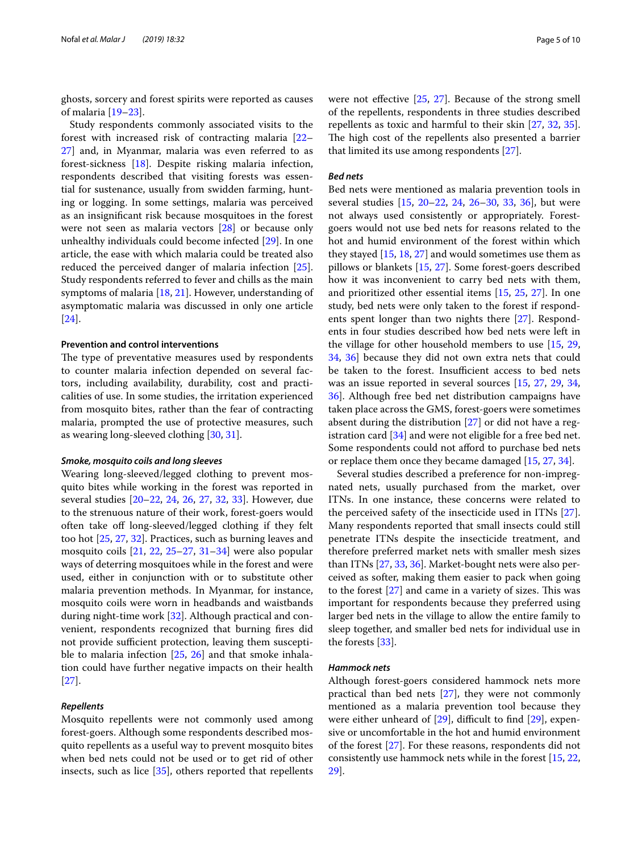ghosts, sorcery and forest spirits were reported as causes of malaria [\[19](#page-9-5)[–23\]](#page-9-6).

Study respondents commonly associated visits to the forest with increased risk of contracting malaria [[22–](#page-9-7) [27\]](#page-9-8) and, in Myanmar, malaria was even referred to as forest-sickness [\[18](#page-9-4)]. Despite risking malaria infection, respondents described that visiting forests was essential for sustenance, usually from swidden farming, hunting or logging. In some settings, malaria was perceived as an insignifcant risk because mosquitoes in the forest were not seen as malaria vectors [[28\]](#page-9-9) or because only unhealthy individuals could become infected [\[29](#page-9-10)]. In one article, the ease with which malaria could be treated also reduced the perceived danger of malaria infection [\[25](#page-9-11)]. Study respondents referred to fever and chills as the main symptoms of malaria [[18,](#page-9-4) [21](#page-9-12)]. However, understanding of asymptomatic malaria was discussed in only one article [[24\]](#page-9-13).

## **Prevention and control interventions**

The type of preventative measures used by respondents to counter malaria infection depended on several factors, including availability, durability, cost and practicalities of use. In some studies, the irritation experienced from mosquito bites, rather than the fear of contracting malaria, prompted the use of protective measures, such as wearing long-sleeved clothing [\[30,](#page-9-14) [31](#page-9-15)].

#### *Smoke, mosquito coils and long sleeves*

Wearing long-sleeved/legged clothing to prevent mosquito bites while working in the forest was reported in several studies [\[20–](#page-9-16)[22,](#page-9-7) [24](#page-9-13), [26](#page-9-17), [27,](#page-9-8) [32,](#page-9-18) [33](#page-9-19)]. However, due to the strenuous nature of their work, forest-goers would often take off long-sleeved/legged clothing if they felt too hot [\[25](#page-9-11), [27,](#page-9-8) [32](#page-9-18)]. Practices, such as burning leaves and mosquito coils [\[21](#page-9-12), [22,](#page-9-7) [25–](#page-9-11)[27](#page-9-8), [31–](#page-9-15)[34](#page-9-20)] were also popular ways of deterring mosquitoes while in the forest and were used, either in conjunction with or to substitute other malaria prevention methods. In Myanmar, for instance, mosquito coils were worn in headbands and waistbands during night-time work [\[32\]](#page-9-18). Although practical and convenient, respondents recognized that burning fres did not provide sufficient protection, leaving them susceptible to malaria infection [[25](#page-9-11), [26\]](#page-9-17) and that smoke inhalation could have further negative impacts on their health [[27\]](#page-9-8).

#### *Repellents*

Mosquito repellents were not commonly used among forest-goers. Although some respondents described mosquito repellents as a useful way to prevent mosquito bites when bed nets could not be used or to get rid of other insects, such as lice [[35\]](#page-9-21), others reported that repellents were not efective [[25,](#page-9-11) [27](#page-9-8)]. Because of the strong smell of the repellents, respondents in three studies described repellents as toxic and harmful to their skin [\[27,](#page-9-8) [32](#page-9-18), [35](#page-9-21)]. The high cost of the repellents also presented a barrier that limited its use among respondents [[27\]](#page-9-8).

## *Bed nets*

Bed nets were mentioned as malaria prevention tools in several studies [\[15,](#page-9-1) [20–](#page-9-16)[22,](#page-9-7) [24](#page-9-13), [26](#page-9-17)[–30,](#page-9-14) [33,](#page-9-19) [36](#page-9-22)], but were not always used consistently or appropriately. Forestgoers would not use bed nets for reasons related to the hot and humid environment of the forest within which they stayed  $[15, 18, 27]$  $[15, 18, 27]$  $[15, 18, 27]$  $[15, 18, 27]$  $[15, 18, 27]$  and would sometimes use them as pillows or blankets [[15](#page-9-1), [27](#page-9-8)]. Some forest-goers described how it was inconvenient to carry bed nets with them, and prioritized other essential items [\[15](#page-9-1), [25](#page-9-11), [27\]](#page-9-8). In one study, bed nets were only taken to the forest if respondents spent longer than two nights there [\[27](#page-9-8)]. Respondents in four studies described how bed nets were left in the village for other household members to use [\[15,](#page-9-1) [29](#page-9-10), [34,](#page-9-20) [36](#page-9-22)] because they did not own extra nets that could be taken to the forest. Insufficient access to bed nets was an issue reported in several sources [\[15,](#page-9-1) [27](#page-9-8), [29,](#page-9-10) [34](#page-9-20), [36\]](#page-9-22). Although free bed net distribution campaigns have taken place across the GMS, forest-goers were sometimes absent during the distribution [[27\]](#page-9-8) or did not have a registration card [[34\]](#page-9-20) and were not eligible for a free bed net. Some respondents could not afford to purchase bed nets or replace them once they became damaged [\[15](#page-9-1), [27](#page-9-8), [34\]](#page-9-20).

Several studies described a preference for non-impregnated nets, usually purchased from the market, over ITNs. In one instance, these concerns were related to the perceived safety of the insecticide used in ITNs [\[27](#page-9-8)]. Many respondents reported that small insects could still penetrate ITNs despite the insecticide treatment, and therefore preferred market nets with smaller mesh sizes than ITNs [[27,](#page-9-8) [33,](#page-9-19) [36](#page-9-22)]. Market-bought nets were also perceived as softer, making them easier to pack when going to the forest  $[27]$  $[27]$  and came in a variety of sizes. This was important for respondents because they preferred using larger bed nets in the village to allow the entire family to sleep together, and smaller bed nets for individual use in the forests [[33\]](#page-9-19).

#### *Hammock nets*

Although forest-goers considered hammock nets more practical than bed nets [\[27](#page-9-8)], they were not commonly mentioned as a malaria prevention tool because they were either unheard of  $[29]$  $[29]$  $[29]$ , difficult to find  $[29]$  $[29]$ , expensive or uncomfortable in the hot and humid environment of the forest [[27](#page-9-8)]. For these reasons, respondents did not consistently use hammock nets while in the forest [\[15](#page-9-1), [22](#page-9-7), [29\]](#page-9-10).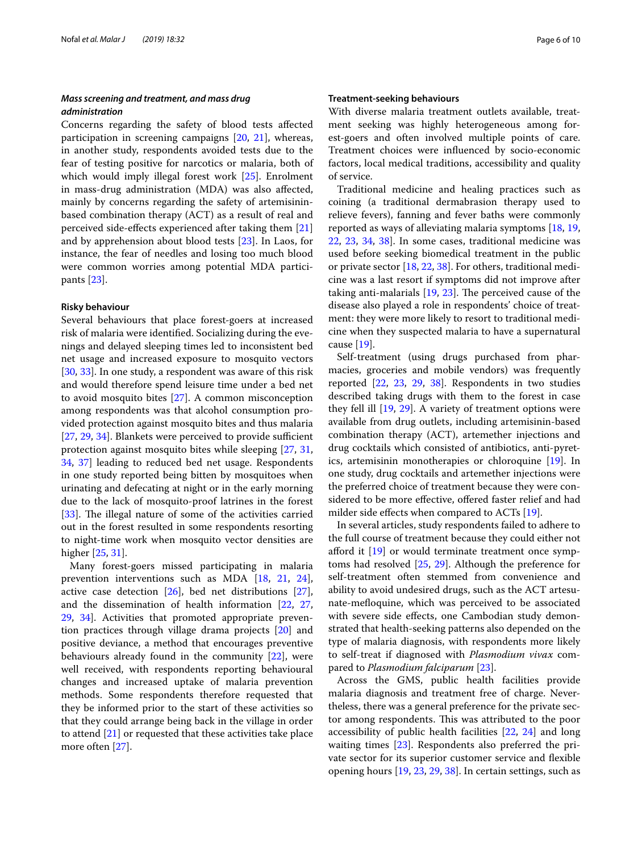## *Mass screening and treatment, and mass drug administration*

Concerns regarding the safety of blood tests afected participation in screening campaigns [\[20](#page-9-16), [21](#page-9-12)], whereas, in another study, respondents avoided tests due to the fear of testing positive for narcotics or malaria, both of which would imply illegal forest work [\[25](#page-9-11)]. Enrolment in mass-drug administration (MDA) was also afected, mainly by concerns regarding the safety of artemisininbased combination therapy (ACT) as a result of real and perceived side-efects experienced after taking them [[21](#page-9-12)] and by apprehension about blood tests [[23\]](#page-9-6). In Laos, for instance, the fear of needles and losing too much blood were common worries among potential MDA participants [[23](#page-9-6)].

#### **Risky behaviour**

Several behaviours that place forest-goers at increased risk of malaria were identifed. Socializing during the evenings and delayed sleeping times led to inconsistent bed net usage and increased exposure to mosquito vectors [[30,](#page-9-14) [33](#page-9-19)]. In one study, a respondent was aware of this risk and would therefore spend leisure time under a bed net to avoid mosquito bites [\[27](#page-9-8)]. A common misconception among respondents was that alcohol consumption provided protection against mosquito bites and thus malaria  $[27, 29, 34]$  $[27, 29, 34]$  $[27, 29, 34]$  $[27, 29, 34]$  $[27, 29, 34]$  $[27, 29, 34]$ . Blankets were perceived to provide sufficient protection against mosquito bites while sleeping [\[27](#page-9-8), [31](#page-9-15), [34,](#page-9-20) [37\]](#page-9-23) leading to reduced bed net usage. Respondents in one study reported being bitten by mosquitoes when urinating and defecating at night or in the early morning due to the lack of mosquito-proof latrines in the forest [[33\]](#page-9-19). The illegal nature of some of the activities carried out in the forest resulted in some respondents resorting to night-time work when mosquito vector densities are higher [[25](#page-9-11), [31\]](#page-9-15).

Many forest-goers missed participating in malaria prevention interventions such as MDA [\[18](#page-9-4), [21](#page-9-12), [24](#page-9-13)], active case detection [\[26](#page-9-17)], bed net distributions [\[27](#page-9-8)], and the dissemination of health information [[22,](#page-9-7) [27](#page-9-8), [29,](#page-9-10) [34\]](#page-9-20). Activities that promoted appropriate prevention practices through village drama projects [[20\]](#page-9-16) and positive deviance, a method that encourages preventive behaviours already found in the community [[22](#page-9-7)], were well received, with respondents reporting behavioural changes and increased uptake of malaria prevention methods. Some respondents therefore requested that they be informed prior to the start of these activities so that they could arrange being back in the village in order to attend [\[21\]](#page-9-12) or requested that these activities take place more often [\[27](#page-9-8)].

#### **Treatment‑seeking behaviours**

With diverse malaria treatment outlets available, treatment seeking was highly heterogeneous among forest-goers and often involved multiple points of care. Treatment choices were infuenced by socio-economic factors, local medical traditions, accessibility and quality of service.

Traditional medicine and healing practices such as coining (a traditional dermabrasion therapy used to relieve fevers), fanning and fever baths were commonly reported as ways of alleviating malaria symptoms [[18,](#page-9-4) [19](#page-9-5), [22,](#page-9-7) [23](#page-9-6), [34,](#page-9-20) [38\]](#page-9-24). In some cases, traditional medicine was used before seeking biomedical treatment in the public or private sector [[18,](#page-9-4) [22,](#page-9-7) [38](#page-9-24)]. For others, traditional medicine was a last resort if symptoms did not improve after taking anti-malarials  $[19, 23]$  $[19, 23]$  $[19, 23]$  $[19, 23]$  $[19, 23]$ . The perceived cause of the disease also played a role in respondents' choice of treatment: they were more likely to resort to traditional medicine when they suspected malaria to have a supernatural cause [[19\]](#page-9-5).

Self-treatment (using drugs purchased from pharmacies, groceries and mobile vendors) was frequently reported [\[22](#page-9-7), [23](#page-9-6), [29](#page-9-10), [38](#page-9-24)]. Respondents in two studies described taking drugs with them to the forest in case they fell ill [\[19](#page-9-5), [29](#page-9-10)]. A variety of treatment options were available from drug outlets, including artemisinin-based combination therapy (ACT), artemether injections and drug cocktails which consisted of antibiotics, anti-pyretics, artemisinin monotherapies or chloroquine [\[19\]](#page-9-5). In one study, drug cocktails and artemether injections were the preferred choice of treatment because they were considered to be more effective, offered faster relief and had milder side effects when compared to ACTs [\[19](#page-9-5)].

In several articles, study respondents failed to adhere to the full course of treatment because they could either not afford it [\[19\]](#page-9-5) or would terminate treatment once symptoms had resolved [[25,](#page-9-11) [29\]](#page-9-10). Although the preference for self-treatment often stemmed from convenience and ability to avoid undesired drugs, such as the ACT artesunate-mefoquine, which was perceived to be associated with severe side effects, one Cambodian study demonstrated that health-seeking patterns also depended on the type of malaria diagnosis, with respondents more likely to self-treat if diagnosed with *Plasmodium vivax* compared to *Plasmodium falciparum* [\[23](#page-9-6)].

Across the GMS, public health facilities provide malaria diagnosis and treatment free of charge. Nevertheless, there was a general preference for the private sector among respondents. This was attributed to the poor accessibility of public health facilities [[22,](#page-9-7) [24\]](#page-9-13) and long waiting times [\[23](#page-9-6)]. Respondents also preferred the private sector for its superior customer service and fexible opening hours [\[19](#page-9-5), [23,](#page-9-6) [29](#page-9-10), [38\]](#page-9-24). In certain settings, such as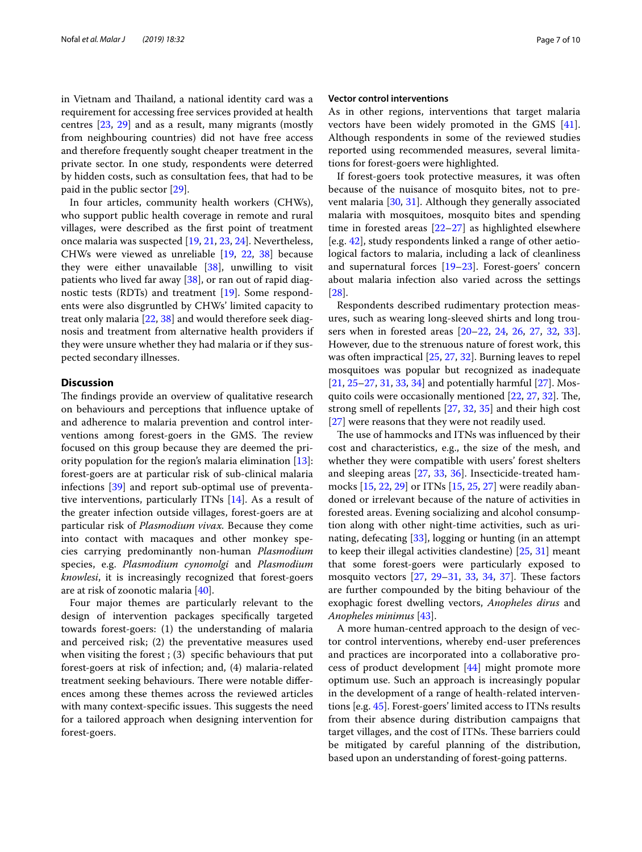in Vietnam and Thailand, a national identity card was a requirement for accessing free services provided at health centres [[23,](#page-9-6) [29\]](#page-9-10) and as a result, many migrants (mostly from neighbouring countries) did not have free access and therefore frequently sought cheaper treatment in the private sector. In one study, respondents were deterred by hidden costs, such as consultation fees, that had to be paid in the public sector [[29](#page-9-10)].

In four articles, community health workers (CHWs), who support public health coverage in remote and rural villages, were described as the frst point of treatment once malaria was suspected [[19,](#page-9-5) [21](#page-9-12), [23](#page-9-6), [24\]](#page-9-13). Nevertheless, CHWs were viewed as unreliable [\[19](#page-9-5), [22,](#page-9-7) [38](#page-9-24)] because they were either unavailable [[38](#page-9-24)], unwilling to visit patients who lived far away [[38\]](#page-9-24), or ran out of rapid diagnostic tests (RDTs) and treatment [[19](#page-9-5)]. Some respondents were also disgruntled by CHWs' limited capacity to treat only malaria [[22](#page-9-7), [38\]](#page-9-24) and would therefore seek diagnosis and treatment from alternative health providers if they were unsure whether they had malaria or if they suspected secondary illnesses.

## **Discussion**

The findings provide an overview of qualitative research on behaviours and perceptions that infuence uptake of and adherence to malaria prevention and control interventions among forest-goers in the GMS. The review focused on this group because they are deemed the priority population for the region's malaria elimination [\[13](#page-8-10)]: forest-goers are at particular risk of sub-clinical malaria infections [[39\]](#page-9-25) and report sub-optimal use of preventative interventions, particularly ITNs [\[14](#page-9-0)]. As a result of the greater infection outside villages, forest-goers are at particular risk of *Plasmodium vivax.* Because they come into contact with macaques and other monkey species carrying predominantly non-human *Plasmodium* species, e.g. *Plasmodium cynomolgi* and *Plasmodium knowlesi*, it is increasingly recognized that forest-goers are at risk of zoonotic malaria [[40](#page-9-26)].

Four major themes are particularly relevant to the design of intervention packages specifcally targeted towards forest-goers: (1) the understanding of malaria and perceived risk; (2) the preventative measures used when visiting the forest ; (3) specific behaviours that put forest-goers at risk of infection; and, (4) malaria-related treatment seeking behaviours. There were notable differences among these themes across the reviewed articles with many context-specific issues. This suggests the need for a tailored approach when designing intervention for forest-goers.

#### **Vector control interventions**

As in other regions, interventions that target malaria vectors have been widely promoted in the GMS [\[41](#page-9-27)]. Although respondents in some of the reviewed studies reported using recommended measures, several limitations for forest-goers were highlighted.

If forest-goers took protective measures, it was often because of the nuisance of mosquito bites, not to prevent malaria [[30,](#page-9-14) [31\]](#page-9-15). Although they generally associated malaria with mosquitoes, mosquito bites and spending time in forested areas [\[22](#page-9-7)[–27](#page-9-8)] as highlighted elsewhere [e.g. [42](#page-9-28)], study respondents linked a range of other aetiological factors to malaria, including a lack of cleanliness and supernatural forces [[19–](#page-9-5)[23\]](#page-9-6). Forest-goers' concern about malaria infection also varied across the settings [[28\]](#page-9-9).

Respondents described rudimentary protection measures, such as wearing long-sleeved shirts and long trousers when in forested areas [[20–](#page-9-16)[22](#page-9-7), [24](#page-9-13), [26](#page-9-17), [27](#page-9-8), [32](#page-9-18), [33](#page-9-19)]. However, due to the strenuous nature of forest work, this was often impractical [\[25,](#page-9-11) [27](#page-9-8), [32\]](#page-9-18). Burning leaves to repel mosquitoes was popular but recognized as inadequate [[21,](#page-9-12) [25](#page-9-11)[–27](#page-9-8), [31](#page-9-15), [33,](#page-9-19) [34](#page-9-20)] and potentially harmful [\[27\]](#page-9-8). Mos-quito coils were occasionally mentioned [\[22,](#page-9-7) [27](#page-9-8), [32](#page-9-18)]. The, strong smell of repellents [\[27,](#page-9-8) [32,](#page-9-18) [35\]](#page-9-21) and their high cost [[27\]](#page-9-8) were reasons that they were not readily used.

The use of hammocks and ITNs was influenced by their cost and characteristics, e.g., the size of the mesh, and whether they were compatible with users' forest shelters and sleeping areas [\[27](#page-9-8), [33,](#page-9-19) [36\]](#page-9-22). Insecticide-treated hammocks [\[15,](#page-9-1) [22](#page-9-7), [29\]](#page-9-10) or ITNs [\[15](#page-9-1), [25,](#page-9-11) [27\]](#page-9-8) were readily abandoned or irrelevant because of the nature of activities in forested areas. Evening socializing and alcohol consumption along with other night-time activities, such as urinating, defecating [[33](#page-9-19)], logging or hunting (in an attempt to keep their illegal activities clandestine) [[25,](#page-9-11) [31\]](#page-9-15) meant that some forest-goers were particularly exposed to mosquito vectors  $[27, 29-31, 33, 34, 37]$  $[27, 29-31, 33, 34, 37]$  $[27, 29-31, 33, 34, 37]$  $[27, 29-31, 33, 34, 37]$  $[27, 29-31, 33, 34, 37]$  $[27, 29-31, 33, 34, 37]$  $[27, 29-31, 33, 34, 37]$  $[27, 29-31, 33, 34, 37]$  $[27, 29-31, 33, 34, 37]$ . These factors are further compounded by the biting behaviour of the exophagic forest dwelling vectors, *Anopheles dirus* and *Anopheles minimus* [[43\]](#page-9-29).

A more human-centred approach to the design of vector control interventions, whereby end-user preferences and practices are incorporated into a collaborative process of product development [\[44](#page-9-30)] might promote more optimum use. Such an approach is increasingly popular in the development of a range of health-related interventions [e.g. [45](#page-9-31)]. Forest-goers' limited access to ITNs results from their absence during distribution campaigns that target villages, and the cost of ITNs. These barriers could be mitigated by careful planning of the distribution, based upon an understanding of forest-going patterns.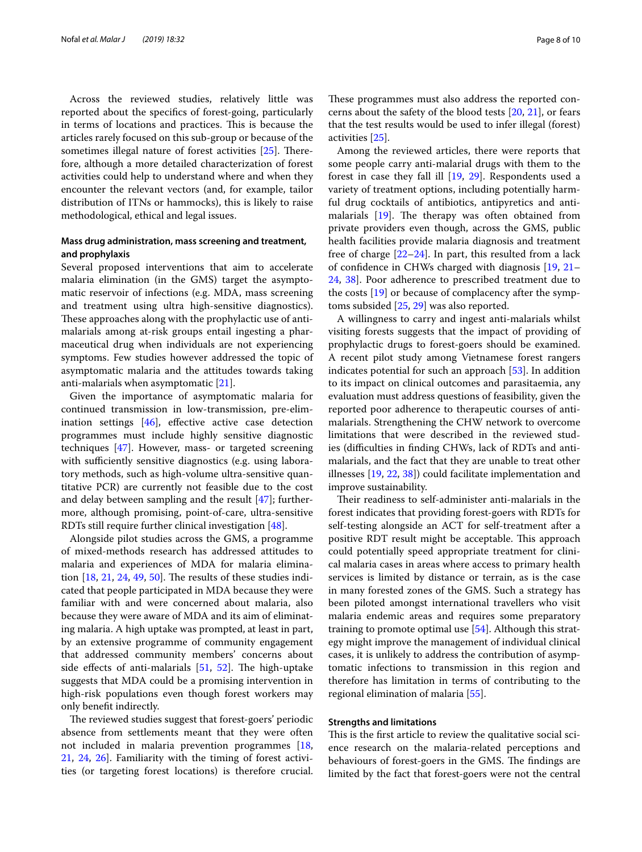Across the reviewed studies, relatively little was reported about the specifcs of forest-going, particularly in terms of locations and practices. This is because the articles rarely focused on this sub-group or because of the sometimes illegal nature of forest activities  $[25]$  $[25]$ . Therefore, although a more detailed characterization of forest activities could help to understand where and when they encounter the relevant vectors (and, for example, tailor distribution of ITNs or hammocks), this is likely to raise methodological, ethical and legal issues.

## **Mass drug administration, mass screening and treatment, and prophylaxis**

Several proposed interventions that aim to accelerate malaria elimination (in the GMS) target the asymptomatic reservoir of infections (e.g. MDA, mass screening and treatment using ultra high-sensitive diagnostics). These approaches along with the prophylactic use of antimalarials among at-risk groups entail ingesting a pharmaceutical drug when individuals are not experiencing symptoms. Few studies however addressed the topic of asymptomatic malaria and the attitudes towards taking anti-malarials when asymptomatic [\[21](#page-9-12)].

Given the importance of asymptomatic malaria for continued transmission in low-transmission, pre-elimination settings  $[46]$ , effective active case detection programmes must include highly sensitive diagnostic techniques [[47\]](#page-9-33). However, mass- or targeted screening with sufficiently sensitive diagnostics (e.g. using laboratory methods, such as high-volume ultra-sensitive quantitative PCR) are currently not feasible due to the cost and delay between sampling and the result [[47\]](#page-9-33); furthermore, although promising, point-of-care, ultra-sensitive RDTs still require further clinical investigation [\[48](#page-9-34)].

Alongside pilot studies across the GMS, a programme of mixed-methods research has addressed attitudes to malaria and experiences of MDA for malaria elimination  $[18, 21, 24, 49, 50]$  $[18, 21, 24, 49, 50]$  $[18, 21, 24, 49, 50]$  $[18, 21, 24, 49, 50]$  $[18, 21, 24, 49, 50]$  $[18, 21, 24, 49, 50]$  $[18, 21, 24, 49, 50]$  $[18, 21, 24, 49, 50]$  $[18, 21, 24, 49, 50]$  $[18, 21, 24, 49, 50]$ . The results of these studies indicated that people participated in MDA because they were familiar with and were concerned about malaria, also because they were aware of MDA and its aim of eliminating malaria. A high uptake was prompted, at least in part, by an extensive programme of community engagement that addressed community members' concerns about side effects of anti-malarials  $[51, 52]$  $[51, 52]$  $[51, 52]$  $[51, 52]$  $[51, 52]$ . The high-uptake suggests that MDA could be a promising intervention in high-risk populations even though forest workers may only beneft indirectly.

The reviewed studies suggest that forest-goers' periodic absence from settlements meant that they were often not included in malaria prevention programmes [\[18](#page-9-4), [21,](#page-9-12) [24](#page-9-13), [26](#page-9-17)]. Familiarity with the timing of forest activities (or targeting forest locations) is therefore crucial.

These programmes must also address the reported concerns about the safety of the blood tests [[20,](#page-9-16) [21](#page-9-12)], or fears that the test results would be used to infer illegal (forest) activities [[25](#page-9-11)].

Among the reviewed articles, there were reports that some people carry anti-malarial drugs with them to the forest in case they fall ill [[19,](#page-9-5) [29\]](#page-9-10). Respondents used a variety of treatment options, including potentially harmful drug cocktails of antibiotics, antipyretics and antimalarials  $[19]$  $[19]$  $[19]$ . The therapy was often obtained from private providers even though, across the GMS, public health facilities provide malaria diagnosis and treatment free of charge  $[22-24]$  $[22-24]$ . In part, this resulted from a lack of confdence in CHWs charged with diagnosis [[19](#page-9-5), [21–](#page-9-12) [24,](#page-9-13) [38](#page-9-24)]. Poor adherence to prescribed treatment due to the costs [[19\]](#page-9-5) or because of complacency after the symptoms subsided [[25,](#page-9-11) [29](#page-9-10)] was also reported.

A willingness to carry and ingest anti-malarials whilst visiting forests suggests that the impact of providing of prophylactic drugs to forest-goers should be examined. A recent pilot study among Vietnamese forest rangers indicates potential for such an approach [\[53](#page-9-39)]. In addition to its impact on clinical outcomes and parasitaemia, any evaluation must address questions of feasibility, given the reported poor adherence to therapeutic courses of antimalarials. Strengthening the CHW network to overcome limitations that were described in the reviewed studies (difficulties in finding CHWs, lack of RDTs and antimalarials, and the fact that they are unable to treat other illnesses [\[19](#page-9-5), [22,](#page-9-7) [38](#page-9-24)]) could facilitate implementation and improve sustainability.

Their readiness to self-administer anti-malarials in the forest indicates that providing forest-goers with RDTs for self-testing alongside an ACT for self-treatment after a positive RDT result might be acceptable. This approach could potentially speed appropriate treatment for clinical malaria cases in areas where access to primary health services is limited by distance or terrain, as is the case in many forested zones of the GMS. Such a strategy has been piloted amongst international travellers who visit malaria endemic areas and requires some preparatory training to promote optimal use [[54\]](#page-9-40). Although this strategy might improve the management of individual clinical cases, it is unlikely to address the contribution of asymptomatic infections to transmission in this region and therefore has limitation in terms of contributing to the regional elimination of malaria [[55\]](#page-9-41).

## **Strengths and limitations**

This is the first article to review the qualitative social science research on the malaria-related perceptions and behaviours of forest-goers in the GMS. The findings are limited by the fact that forest-goers were not the central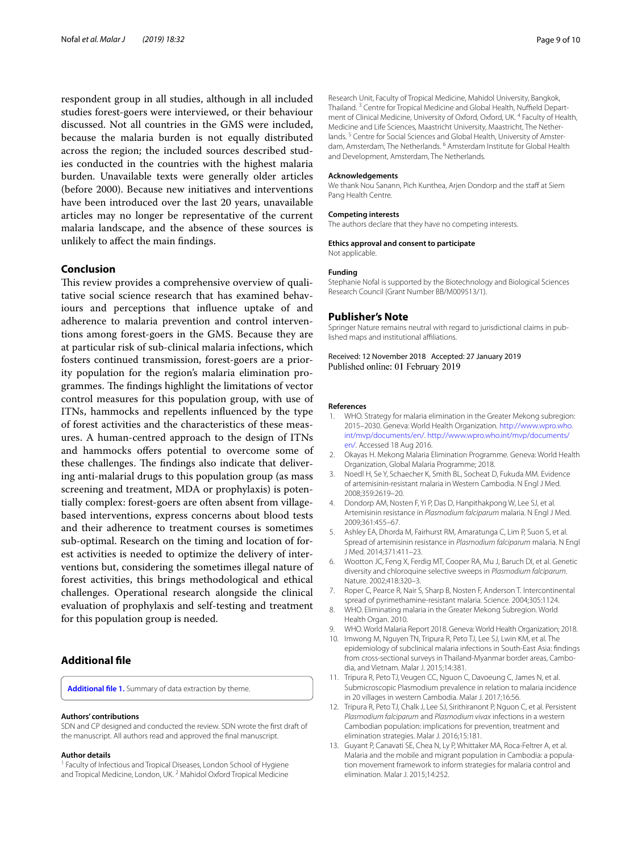respondent group in all studies, although in all included studies forest-goers were interviewed, or their behaviour discussed. Not all countries in the GMS were included, because the malaria burden is not equally distributed across the region; the included sources described studies conducted in the countries with the highest malaria burden. Unavailable texts were generally older articles (before 2000). Because new initiatives and interventions have been introduced over the last 20 years, unavailable articles may no longer be representative of the current malaria landscape, and the absence of these sources is unlikely to afect the main fndings.

#### **Conclusion**

This review provides a comprehensive overview of qualitative social science research that has examined behaviours and perceptions that infuence uptake of and adherence to malaria prevention and control interventions among forest-goers in the GMS. Because they are at particular risk of sub-clinical malaria infections, which fosters continued transmission, forest-goers are a priority population for the region's malaria elimination programmes. The findings highlight the limitations of vector control measures for this population group, with use of ITNs, hammocks and repellents infuenced by the type of forest activities and the characteristics of these measures. A human-centred approach to the design of ITNs and hammocks ofers potential to overcome some of these challenges. The findings also indicate that delivering anti-malarial drugs to this population group (as mass screening and treatment, MDA or prophylaxis) is potentially complex: forest-goers are often absent from villagebased interventions, express concerns about blood tests and their adherence to treatment courses is sometimes sub-optimal. Research on the timing and location of forest activities is needed to optimize the delivery of interventions but, considering the sometimes illegal nature of forest activities, this brings methodological and ethical challenges. Operational research alongside the clinical evaluation of prophylaxis and self-testing and treatment for this population group is needed.

## **Additional fle**

<span id="page-8-11"></span>**[Additional fle 1.](https://doi.org/10.1186/s12936-019-2666-5)** Summary of data extraction by theme.

#### **Authors' contributions**

SDN and CP designed and conducted the review. SDN wrote the frst draft of the manuscript. All authors read and approved the fnal manuscript.

#### **Author details**

<sup>1</sup> Faculty of Infectious and Tropical Diseases, London School of Hygiene and Tropical Medicine, London, UK.<sup>2</sup> Mahidol Oxford Tropical Medicine

Research Unit, Faculty of Tropical Medicine, Mahidol University, Bangkok, Thailand.<sup>3</sup> Centre for Tropical Medicine and Global Health, Nuffield Department of Clinical Medicine, University of Oxford, Oxford, UK. 4 Faculty of Health, Medicine and Life Sciences, Maastricht University, Maastricht, The Netherlands. 5 Centre for Social Sciences and Global Health, University of Amsterdam, Amsterdam, The Netherlands. <sup>6</sup> Amsterdam Institute for Global Health and Development, Amsterdam, The Netherlands.

#### **Acknowledgements**

We thank Nou Sanann, Pich Kunthea, Arjen Dondorp and the staff at Siem Pang Health Centre.

#### **Competing interests**

The authors declare that they have no competing interests.

#### **Ethics approval and consent to participate**

Not applicable.

#### **Funding**

Stephanie Nofal is supported by the Biotechnology and Biological Sciences Research Council (Grant Number BB/M009513/1).

#### **Publisher's Note**

Springer Nature remains neutral with regard to jurisdictional claims in published maps and institutional afliations.

Received: 12 November 2018 Accepted: 27 January 2019 Published online: 01 February 2019

#### **References**

- <span id="page-8-0"></span>1. WHO. Strategy for malaria elimination in the Greater Mekong subregion: 2015–2030. Geneva: World Health Organization. [http://www.wpro.who.](http://www.wpro.who.int/mvp/documents/en/) [int/mvp/documents/en/.](http://www.wpro.who.int/mvp/documents/en/) [http://www.wpro.who.int/mvp/documents/](http://www.wpro.who.int/mvp/documents/en/) [en/](http://www.wpro.who.int/mvp/documents/en/). Accessed 18 Aug 2016.
- <span id="page-8-1"></span>2. Okayas H. Mekong Malaria Elimination Programme. Geneva: World Health Organization, Global Malaria Programme; 2018.
- <span id="page-8-2"></span>3. Noedl H, Se Y, Schaecher K, Smith BL, Socheat D, Fukuda MM. Evidence of artemisinin-resistant malaria in Western Cambodia. N Engl J Med. 2008;359:2619–20.
- 4. Dondorp AM, Nosten F, Yi P, Das D, Hanpithakpong W, Lee SJ, et al. Artemisinin resistance in *Plasmodium falciparum* malaria. N Engl J Med. 2009;361:455–67.
- <span id="page-8-3"></span>5. Ashley EA, Dhorda M, Fairhurst RM, Amaratunga C, Lim P, Suon S, et al. Spread of artemisinin resistance in *Plasmodium falciparum* malaria. N Engl J Med. 2014;371:411–23.
- <span id="page-8-4"></span>6. Wootton JC, Feng X, Ferdig MT, Cooper RA, Mu J, Baruch DI, et al. Genetic diversity and chloroquine selective sweeps in *Plasmodium falciparum*. Nature. 2002;418:320–3.
- <span id="page-8-5"></span>7. Roper C, Pearce R, Nair S, Sharp B, Nosten F, Anderson T. Intercontinental spread of pyrimethamine-resistant malaria. Science. 2004;305:1124.
- <span id="page-8-6"></span>8. WHO. Eliminating malaria in the Greater Mekong Subregion. World Health Organ. 2010.
- <span id="page-8-7"></span>9. WHO. World Malaria Report 2018. Geneva: World Health Organization; 2018.
- <span id="page-8-8"></span>10. Imwong M, Nguyen TN, Tripura R, Peto TJ, Lee SJ, Lwin KM, et al. The epidemiology of subclinical malaria infections in South-East Asia: fndings from cross-sectional surveys in Thailand-Myanmar border areas, Cambodia, and Vietnam. Malar J. 2015;14:381.
- 11. Tripura R, Peto TJ, Veugen CC, Nguon C, Davoeung C, James N, et al. Submicroscopic Plasmodium prevalence in relation to malaria incidence in 20 villages in western Cambodia. Malar J. 2017;16:56.
- <span id="page-8-9"></span>12. Tripura R, Peto TJ, Chalk J, Lee SJ, Sirithiranont P, Nguon C, et al. Persistent *Plasmodium falciparum* and *Plasmodium vivax* infections in a western Cambodian population: implications for prevention, treatment and elimination strategies. Malar J. 2016;15:181.
- <span id="page-8-10"></span>13. Guyant P, Canavati SE, Chea N, Ly P, Whittaker MA, Roca-Feltrer A, et al. Malaria and the mobile and migrant population in Cambodia: a population movement framework to inform strategies for malaria control and elimination. Malar J. 2015;14:252.